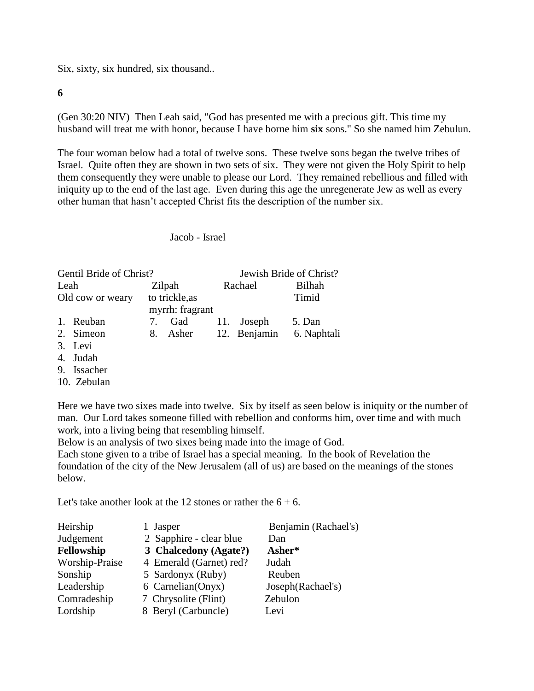Six, sixty, six hundred, six thousand..

**6**

(Gen 30:20 NIV) Then Leah said, "God has presented me with a precious gift. This time my husband will treat me with honor, because I have borne him **six** sons." So she named him Zebulun.

The four woman below had a total of twelve sons. These twelve sons began the twelve tribes of Israel. Quite often they are shown in two sets of six. They were not given the Holy Spirit to help them consequently they were unable to please our Lord. They remained rebellious and filled with iniquity up to the end of the last age. Even during this age the unregenerate Jew as well as every other human that hasn't accepted Christ fits the description of the number six.

## Jacob - Israel

| Gentil Bride of Christ? |              |                |                 | Jewish Bride of Christ? |             |  |
|-------------------------|--------------|----------------|-----------------|-------------------------|-------------|--|
| Leah                    |              |                | Zilpah          | Rachael                 | Bilhah      |  |
| Old cow or weary        |              | to trickle, as |                 |                         | Timid       |  |
|                         |              |                | myrrh: fragrant |                         |             |  |
|                         | 1. Reuban    | 7.             | Gad             | 11. Joseph              | 5. Dan      |  |
|                         | 2. Simeon    |                | 8. Asher        | 12. Benjamin            | 6. Naphtali |  |
|                         | $2 \times 1$ |                |                 |                         |             |  |

- 3. Levi
- 4. Judah
- 9. Issacher
- 10. Zebulan

Here we have two sixes made into twelve. Six by itself as seen below is iniquity or the number of man. Our Lord takes someone filled with rebellion and conforms him, over time and with much work, into a living being that resembling himself.

Below is an analysis of two sixes being made into the image of God.

Each stone given to a tribe of Israel has a special meaning. In the book of Revelation the foundation of the city of the New Jerusalem (all of us) are based on the meanings of the stones below.

Let's take another look at the 12 stones or rather the  $6 + 6$ .

| Heirship<br>Judgement | 1 Jasper<br>2 Sapphire - clear blue | Benjamin (Rachael's)<br>Dan |
|-----------------------|-------------------------------------|-----------------------------|
| Fellowship            | 3 Chalcedony (Agate?)               | Asher*                      |
| Worship-Praise        | 4 Emerald (Garnet) red?             | Judah                       |
| Sonship               | 5 Sardonyx (Ruby)                   | Reuben                      |
| Leadership            | 6 Carnelian(Onyx)                   | Joseph(Rachael's)           |
| Comradeship           | 7 Chrysolite (Flint)                | Zebulon                     |
| Lordship              | 8 Beryl (Carbuncle)                 | Levi                        |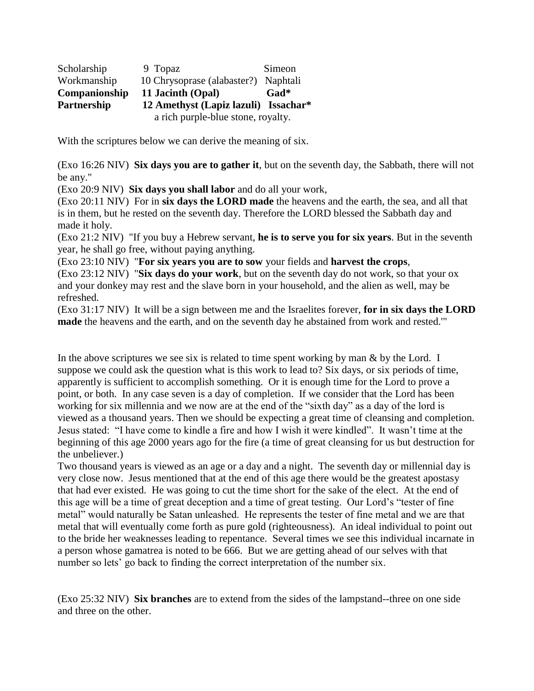| Scholarship   | 9 Topaz                              | Simeon |  |  |
|---------------|--------------------------------------|--------|--|--|
| Workmanship   | 10 Chrysoprase (alabaster?) Naphtali |        |  |  |
| Companionship | 11 Jacinth (Opal)                    | Gad*   |  |  |
| Partnership   | 12 Amethyst (Lapiz lazuli) Issachar* |        |  |  |
|               | a rich purple-blue stone, royalty.   |        |  |  |

With the scriptures below we can derive the meaning of six.

(Exo 16:26 NIV) **Six days you are to gather it**, but on the seventh day, the Sabbath, there will not be any."

(Exo 20:9 NIV) **Six days you shall labor** and do all your work,

(Exo 20:11 NIV) For in **six days the LORD made** the heavens and the earth, the sea, and all that is in them, but he rested on the seventh day. Therefore the LORD blessed the Sabbath day and made it holy.

(Exo 21:2 NIV) "If you buy a Hebrew servant, **he is to serve you for six years**. But in the seventh year, he shall go free, without paying anything.

(Exo 23:10 NIV) "**For six years you are to sow** your fields and **harvest the crops**,

(Exo 23:12 NIV) "**Six days do your work**, but on the seventh day do not work, so that your ox and your donkey may rest and the slave born in your household, and the alien as well, may be refreshed.

(Exo 31:17 NIV) It will be a sign between me and the Israelites forever, **for in six days the LORD made** the heavens and the earth, and on the seventh day he abstained from work and rested.'"

In the above scriptures we see six is related to time spent working by man  $\&$  by the Lord. I suppose we could ask the question what is this work to lead to? Six days, or six periods of time, apparently is sufficient to accomplish something. Or it is enough time for the Lord to prove a point, or both. In any case seven is a day of completion. If we consider that the Lord has been working for six millennia and we now are at the end of the "sixth day" as a day of the lord is viewed as a thousand years. Then we should be expecting a great time of cleansing and completion. Jesus stated: "I have come to kindle a fire and how I wish it were kindled". It wasn't time at the beginning of this age 2000 years ago for the fire (a time of great cleansing for us but destruction for the unbeliever.)

Two thousand years is viewed as an age or a day and a night. The seventh day or millennial day is very close now. Jesus mentioned that at the end of this age there would be the greatest apostasy that had ever existed. He was going to cut the time short for the sake of the elect. At the end of this age will be a time of great deception and a time of great testing. Our Lord's "tester of fine metal" would naturally be Satan unleashed. He represents the tester of fine metal and we are that metal that will eventually come forth as pure gold (righteousness). An ideal individual to point out to the bride her weaknesses leading to repentance. Several times we see this individual incarnate in a person whose gamatrea is noted to be 666. But we are getting ahead of our selves with that number so lets' go back to finding the correct interpretation of the number six.

(Exo 25:32 NIV) **Six branches** are to extend from the sides of the lampstand--three on one side and three on the other.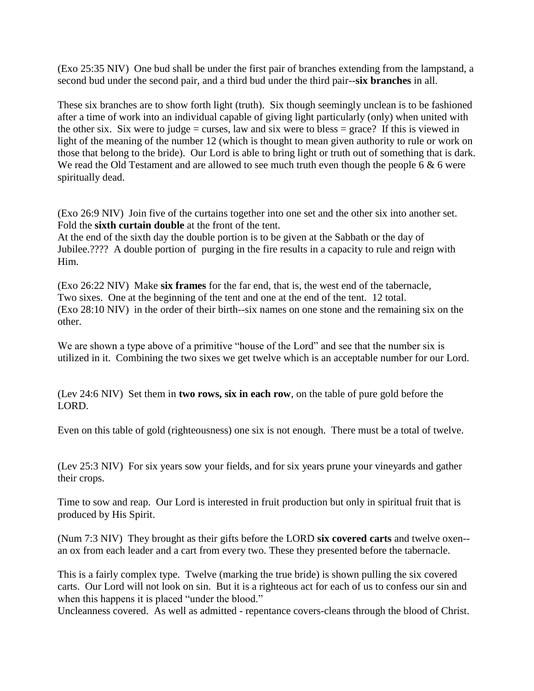(Exo 25:35 NIV) One bud shall be under the first pair of branches extending from the lampstand, a second bud under the second pair, and a third bud under the third pair--**six branches** in all.

These six branches are to show forth light (truth). Six though seemingly unclean is to be fashioned after a time of work into an individual capable of giving light particularly (only) when united with the other six. Six were to judge = curses, law and six were to bless = grace? If this is viewed in light of the meaning of the number 12 (which is thought to mean given authority to rule or work on those that belong to the bride). Our Lord is able to bring light or truth out of something that is dark. We read the Old Testament and are allowed to see much truth even though the people 6  $\&$  6 were spiritually dead.

(Exo 26:9 NIV) Join five of the curtains together into one set and the other six into another set. Fold the **sixth curtain double** at the front of the tent.

At the end of the sixth day the double portion is to be given at the Sabbath or the day of Jubilee.???? A double portion of purging in the fire results in a capacity to rule and reign with Him.

(Exo 26:22 NIV) Make **six frames** for the far end, that is, the west end of the tabernacle, Two sixes. One at the beginning of the tent and one at the end of the tent. 12 total. (Exo 28:10 NIV) in the order of their birth--six names on one stone and the remaining six on the other.

We are shown a type above of a primitive "house of the Lord" and see that the number six is utilized in it. Combining the two sixes we get twelve which is an acceptable number for our Lord.

(Lev 24:6 NIV) Set them in **two rows, six in each row**, on the table of pure gold before the LORD.

Even on this table of gold (righteousness) one six is not enough. There must be a total of twelve.

(Lev 25:3 NIV) For six years sow your fields, and for six years prune your vineyards and gather their crops.

Time to sow and reap. Our Lord is interested in fruit production but only in spiritual fruit that is produced by His Spirit.

(Num 7:3 NIV) They brought as their gifts before the LORD **six covered carts** and twelve oxen- an ox from each leader and a cart from every two. These they presented before the tabernacle.

This is a fairly complex type. Twelve (marking the true bride) is shown pulling the six covered carts. Our Lord will not look on sin. But it is a righteous act for each of us to confess our sin and when this happens it is placed "under the blood."

Uncleanness covered. As well as admitted - repentance covers-cleans through the blood of Christ.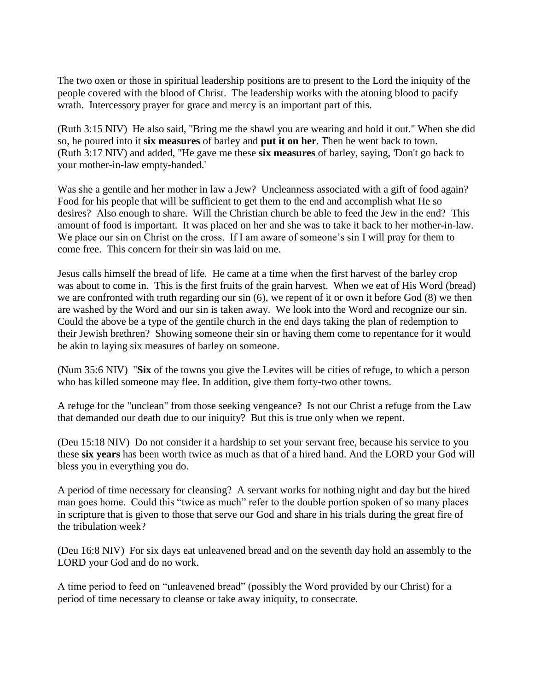The two oxen or those in spiritual leadership positions are to present to the Lord the iniquity of the people covered with the blood of Christ. The leadership works with the atoning blood to pacify wrath. Intercessory prayer for grace and mercy is an important part of this.

(Ruth 3:15 NIV) He also said, "Bring me the shawl you are wearing and hold it out." When she did so, he poured into it **six measures** of barley and **put it on her**. Then he went back to town. (Ruth 3:17 NIV) and added, "He gave me these **six measures** of barley, saying, 'Don't go back to your mother-in-law empty-handed.'

Was she a gentile and her mother in law a Jew? Uncleanness associated with a gift of food again? Food for his people that will be sufficient to get them to the end and accomplish what He so desires? Also enough to share. Will the Christian church be able to feed the Jew in the end? This amount of food is important. It was placed on her and she was to take it back to her mother-in-law. We place our sin on Christ on the cross. If I am aware of someone's sin I will pray for them to come free. This concern for their sin was laid on me.

Jesus calls himself the bread of life. He came at a time when the first harvest of the barley crop was about to come in. This is the first fruits of the grain harvest. When we eat of His Word (bread) we are confronted with truth regarding our sin (6), we repent of it or own it before God (8) we then are washed by the Word and our sin is taken away. We look into the Word and recognize our sin. Could the above be a type of the gentile church in the end days taking the plan of redemption to their Jewish brethren? Showing someone their sin or having them come to repentance for it would be akin to laying six measures of barley on someone.

(Num 35:6 NIV) "**Six** of the towns you give the Levites will be cities of refuge, to which a person who has killed someone may flee. In addition, give them forty-two other towns.

A refuge for the "unclean" from those seeking vengeance? Is not our Christ a refuge from the Law that demanded our death due to our iniquity? But this is true only when we repent.

(Deu 15:18 NIV) Do not consider it a hardship to set your servant free, because his service to you these **six years** has been worth twice as much as that of a hired hand. And the LORD your God will bless you in everything you do.

A period of time necessary for cleansing? A servant works for nothing night and day but the hired man goes home. Could this "twice as much" refer to the double portion spoken of so many places in scripture that is given to those that serve our God and share in his trials during the great fire of the tribulation week?

(Deu 16:8 NIV) For six days eat unleavened bread and on the seventh day hold an assembly to the LORD your God and do no work.

A time period to feed on "unleavened bread" (possibly the Word provided by our Christ) for a period of time necessary to cleanse or take away iniquity, to consecrate.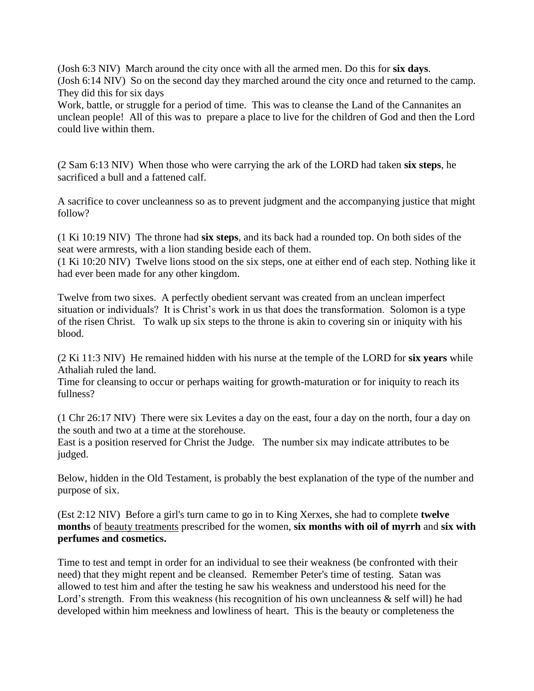(Josh 6:3 NIV) March around the city once with all the armed men. Do this for **six days**. (Josh 6:14 NIV) So on the second day they marched around the city once and returned to the camp. They did this for six days

Work, battle, or struggle for a period of time. This was to cleanse the Land of the Cannanites an unclean people! All of this was to prepare a place to live for the children of God and then the Lord could live within them.

(2 Sam 6:13 NIV) When those who were carrying the ark of the LORD had taken **six steps**, he sacrificed a bull and a fattened calf.

A sacrifice to cover uncleanness so as to prevent judgment and the accompanying justice that might follow?

(1 Ki 10:19 NIV) The throne had **six steps**, and its back had a rounded top. On both sides of the seat were armrests, with a lion standing beside each of them.

(1 Ki 10:20 NIV) Twelve lions stood on the six steps, one at either end of each step. Nothing like it had ever been made for any other kingdom.

Twelve from two sixes. A perfectly obedient servant was created from an unclean imperfect situation or individuals? It is Christ's work in us that does the transformation. Solomon is a type of the risen Christ. To walk up six steps to the throne is akin to covering sin or iniquity with his blood.

(2 Ki 11:3 NIV) He remained hidden with his nurse at the temple of the LORD for **six years** while Athaliah ruled the land.

Time for cleansing to occur or perhaps waiting for growth-maturation or for iniquity to reach its fullness?

(1 Chr 26:17 NIV) There were six Levites a day on the east, four a day on the north, four a day on the south and two at a time at the storehouse.

East is a position reserved for Christ the Judge. The number six may indicate attributes to be judged.

Below, hidden in the Old Testament, is probably the best explanation of the type of the number and purpose of six.

(Est 2:12 NIV) Before a girl's turn came to go in to King Xerxes, she had to complete **twelve months** of beauty treatments prescribed for the women, **six months with oil of myrrh** and **six with perfumes and cosmetics.**

Time to test and tempt in order for an individual to see their weakness (be confronted with their need) that they might repent and be cleansed. Remember Peter's time of testing. Satan was allowed to test him and after the testing he saw his weakness and understood his need for the Lord's strength. From this weakness (his recognition of his own uncleanness & self will) he had developed within him meekness and lowliness of heart. This is the beauty or completeness the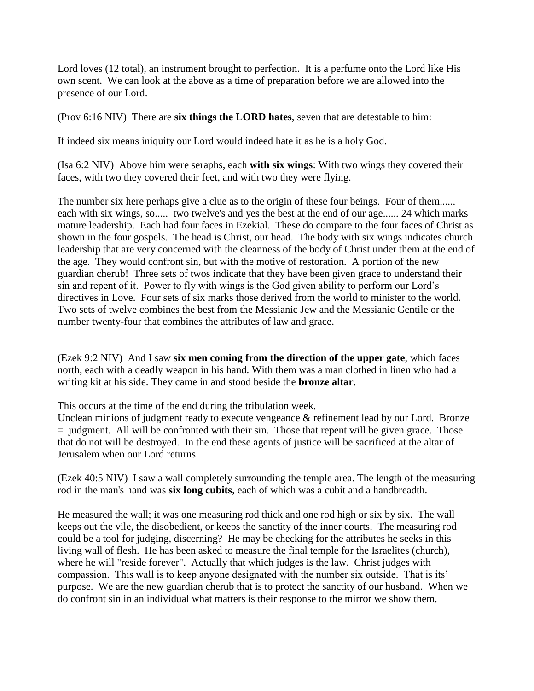Lord loves (12 total), an instrument brought to perfection. It is a perfume onto the Lord like His own scent. We can look at the above as a time of preparation before we are allowed into the presence of our Lord.

(Prov 6:16 NIV) There are **six things the LORD hates**, seven that are detestable to him:

If indeed six means iniquity our Lord would indeed hate it as he is a holy God.

(Isa 6:2 NIV) Above him were seraphs, each **with six wings**: With two wings they covered their faces, with two they covered their feet, and with two they were flying.

The number six here perhaps give a clue as to the origin of these four beings. Four of them...... each with six wings, so..... two twelve's and yes the best at the end of our age...... 24 which marks mature leadership. Each had four faces in Ezekial. These do compare to the four faces of Christ as shown in the four gospels. The head is Christ, our head. The body with six wings indicates church leadership that are very concerned with the cleanness of the body of Christ under them at the end of the age. They would confront sin, but with the motive of restoration. A portion of the new guardian cherub! Three sets of twos indicate that they have been given grace to understand their sin and repent of it. Power to fly with wings is the God given ability to perform our Lord's directives in Love. Four sets of six marks those derived from the world to minister to the world. Two sets of twelve combines the best from the Messianic Jew and the Messianic Gentile or the number twenty-four that combines the attributes of law and grace.

(Ezek 9:2 NIV) And I saw **six men coming from the direction of the upper gate**, which faces north, each with a deadly weapon in his hand. With them was a man clothed in linen who had a writing kit at his side. They came in and stood beside the **bronze altar**.

This occurs at the time of the end during the tribulation week.

Unclean minions of judgment ready to execute vengeance & refinement lead by our Lord. Bronze  $=$  judgment. All will be confronted with their sin. Those that repent will be given grace. Those that do not will be destroyed. In the end these agents of justice will be sacrificed at the altar of Jerusalem when our Lord returns.

(Ezek 40:5 NIV) I saw a wall completely surrounding the temple area. The length of the measuring rod in the man's hand was **six long cubits**, each of which was a cubit and a handbreadth.

He measured the wall; it was one measuring rod thick and one rod high or six by six. The wall keeps out the vile, the disobedient, or keeps the sanctity of the inner courts. The measuring rod could be a tool for judging, discerning? He may be checking for the attributes he seeks in this living wall of flesh. He has been asked to measure the final temple for the Israelites (church), where he will "reside forever". Actually that which judges is the law. Christ judges with compassion. This wall is to keep anyone designated with the number six outside. That is its' purpose. We are the new guardian cherub that is to protect the sanctity of our husband. When we do confront sin in an individual what matters is their response to the mirror we show them.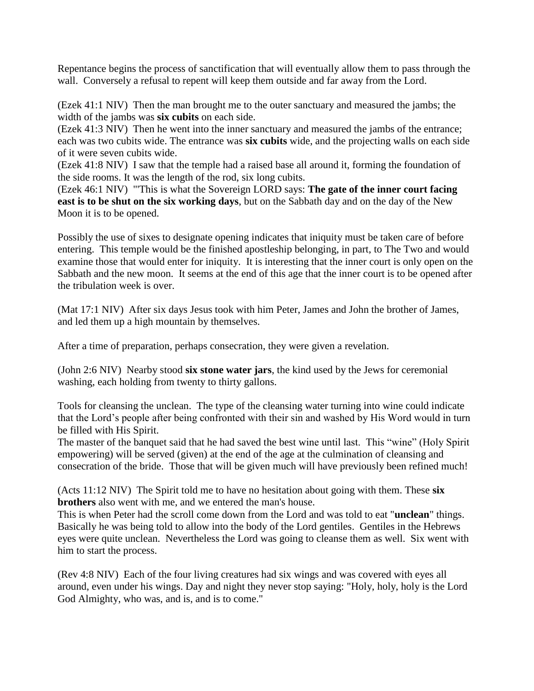Repentance begins the process of sanctification that will eventually allow them to pass through the wall. Conversely a refusal to repent will keep them outside and far away from the Lord.

(Ezek 41:1 NIV) Then the man brought me to the outer sanctuary and measured the jambs; the width of the jambs was **six cubits** on each side.

(Ezek 41:3 NIV) Then he went into the inner sanctuary and measured the jambs of the entrance; each was two cubits wide. The entrance was **six cubits** wide, and the projecting walls on each side of it were seven cubits wide.

(Ezek 41:8 NIV) I saw that the temple had a raised base all around it, forming the foundation of the side rooms. It was the length of the rod, six long cubits.

(Ezek 46:1 NIV) "'This is what the Sovereign LORD says: **The gate of the inner court facing east is to be shut on the six working days**, but on the Sabbath day and on the day of the New Moon it is to be opened.

Possibly the use of sixes to designate opening indicates that iniquity must be taken care of before entering. This temple would be the finished apostleship belonging, in part, to The Two and would examine those that would enter for iniquity. It is interesting that the inner court is only open on the Sabbath and the new moon. It seems at the end of this age that the inner court is to be opened after the tribulation week is over.

(Mat 17:1 NIV) After six days Jesus took with him Peter, James and John the brother of James, and led them up a high mountain by themselves.

After a time of preparation, perhaps consecration, they were given a revelation.

(John 2:6 NIV) Nearby stood **six stone water jars**, the kind used by the Jews for ceremonial washing, each holding from twenty to thirty gallons.

Tools for cleansing the unclean. The type of the cleansing water turning into wine could indicate that the Lord's people after being confronted with their sin and washed by His Word would in turn be filled with His Spirit.

The master of the banquet said that he had saved the best wine until last. This "wine" (Holy Spirit empowering) will be served (given) at the end of the age at the culmination of cleansing and consecration of the bride. Those that will be given much will have previously been refined much!

(Acts 11:12 NIV) The Spirit told me to have no hesitation about going with them. These **six brothers** also went with me, and we entered the man's house.

This is when Peter had the scroll come down from the Lord and was told to eat "**unclean**" things. Basically he was being told to allow into the body of the Lord gentiles. Gentiles in the Hebrews eyes were quite unclean. Nevertheless the Lord was going to cleanse them as well. Six went with him to start the process.

(Rev 4:8 NIV) Each of the four living creatures had six wings and was covered with eyes all around, even under his wings. Day and night they never stop saying: "Holy, holy, holy is the Lord God Almighty, who was, and is, and is to come."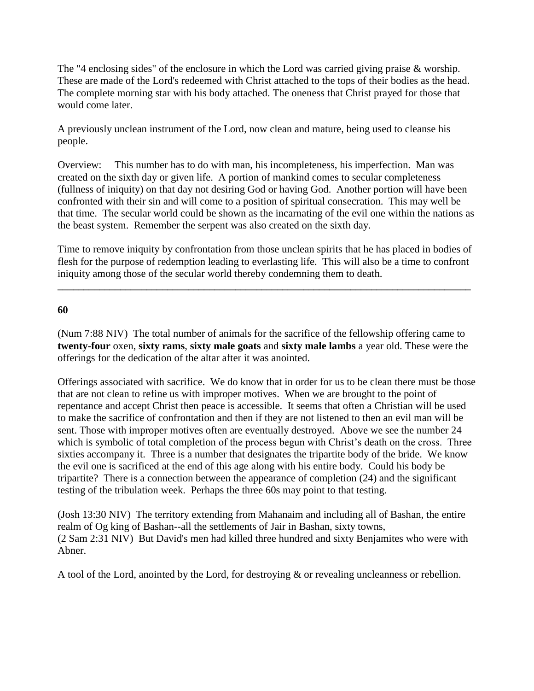The "4 enclosing sides" of the enclosure in which the Lord was carried giving praise & worship. These are made of the Lord's redeemed with Christ attached to the tops of their bodies as the head. The complete morning star with his body attached. The oneness that Christ prayed for those that would come later.

A previously unclean instrument of the Lord, now clean and mature, being used to cleanse his people.

Overview: This number has to do with man, his incompleteness, his imperfection. Man was created on the sixth day or given life. A portion of mankind comes to secular completeness (fullness of iniquity) on that day not desiring God or having God. Another portion will have been confronted with their sin and will come to a position of spiritual consecration. This may well be that time. The secular world could be shown as the incarnating of the evil one within the nations as the beast system. Remember the serpent was also created on the sixth day.

Time to remove iniquity by confrontation from those unclean spirits that he has placed in bodies of flesh for the purpose of redemption leading to everlasting life. This will also be a time to confront iniquity among those of the secular world thereby condemning them to death.

**\_\_\_\_\_\_\_\_\_\_\_\_\_\_\_\_\_\_\_\_\_\_\_\_\_\_\_\_\_\_\_\_\_\_\_\_\_\_\_\_\_\_\_\_\_\_\_\_\_\_\_\_\_\_\_\_\_\_\_\_\_\_\_\_\_\_\_\_\_\_\_\_\_\_\_\_\_\_\_**

**60**

(Num 7:88 NIV) The total number of animals for the sacrifice of the fellowship offering came to **twenty-four** oxen, **sixty rams**, **sixty male goats** and **sixty male lambs** a year old. These were the offerings for the dedication of the altar after it was anointed.

Offerings associated with sacrifice. We do know that in order for us to be clean there must be those that are not clean to refine us with improper motives. When we are brought to the point of repentance and accept Christ then peace is accessible. It seems that often a Christian will be used to make the sacrifice of confrontation and then if they are not listened to then an evil man will be sent. Those with improper motives often are eventually destroyed. Above we see the number 24 which is symbolic of total completion of the process begun with Christ's death on the cross. Three sixties accompany it. Three is a number that designates the tripartite body of the bride. We know the evil one is sacrificed at the end of this age along with his entire body. Could his body be tripartite? There is a connection between the appearance of completion (24) and the significant testing of the tribulation week. Perhaps the three 60s may point to that testing.

(Josh 13:30 NIV) The territory extending from Mahanaim and including all of Bashan, the entire realm of Og king of Bashan--all the settlements of Jair in Bashan, sixty towns, (2 Sam 2:31 NIV) But David's men had killed three hundred and sixty Benjamites who were with Abner.

A tool of the Lord, anointed by the Lord, for destroying & or revealing uncleanness or rebellion.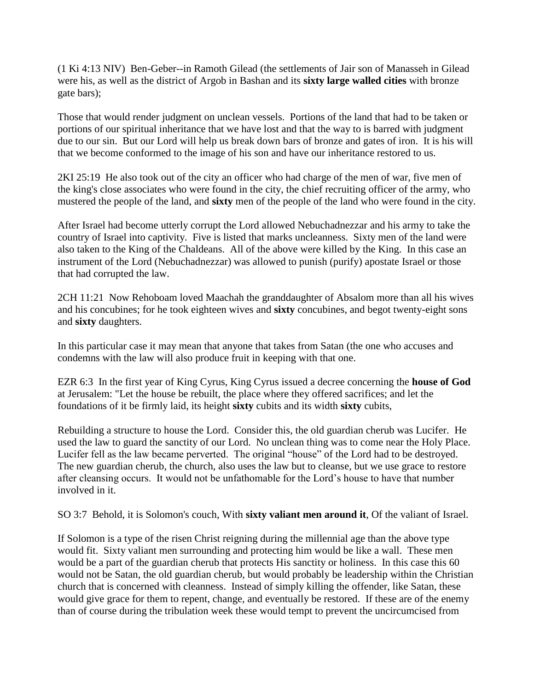(1 Ki 4:13 NIV) Ben-Geber--in Ramoth Gilead (the settlements of Jair son of Manasseh in Gilead were his, as well as the district of Argob in Bashan and its **sixty large walled cities** with bronze gate bars);

Those that would render judgment on unclean vessels. Portions of the land that had to be taken or portions of our spiritual inheritance that we have lost and that the way to is barred with judgment due to our sin. But our Lord will help us break down bars of bronze and gates of iron. It is his will that we become conformed to the image of his son and have our inheritance restored to us.

2KI 25:19 He also took out of the city an officer who had charge of the men of war, five men of the king's close associates who were found in the city, the chief recruiting officer of the army, who mustered the people of the land, and **sixty** men of the people of the land who were found in the city.

After Israel had become utterly corrupt the Lord allowed Nebuchadnezzar and his army to take the country of Israel into captivity. Five is listed that marks uncleanness. Sixty men of the land were also taken to the King of the Chaldeans. All of the above were killed by the King. In this case an instrument of the Lord (Nebuchadnezzar) was allowed to punish (purify) apostate Israel or those that had corrupted the law.

2CH 11:21 Now Rehoboam loved Maachah the granddaughter of Absalom more than all his wives and his concubines; for he took eighteen wives and **sixty** concubines, and begot twenty-eight sons and **sixty** daughters.

In this particular case it may mean that anyone that takes from Satan (the one who accuses and condemns with the law will also produce fruit in keeping with that one.

EZR 6:3 In the first year of King Cyrus, King Cyrus issued a decree concerning the **house of God** at Jerusalem: "Let the house be rebuilt, the place where they offered sacrifices; and let the foundations of it be firmly laid, its height **sixty** cubits and its width **sixty** cubits,

Rebuilding a structure to house the Lord. Consider this, the old guardian cherub was Lucifer. He used the law to guard the sanctity of our Lord. No unclean thing was to come near the Holy Place. Lucifer fell as the law became perverted. The original "house" of the Lord had to be destroyed. The new guardian cherub, the church, also uses the law but to cleanse, but we use grace to restore after cleansing occurs. It would not be unfathomable for the Lord's house to have that number involved in it.

SO 3:7 Behold, it is Solomon's couch, With **sixty valiant men around it**, Of the valiant of Israel.

If Solomon is a type of the risen Christ reigning during the millennial age than the above type would fit. Sixty valiant men surrounding and protecting him would be like a wall. These men would be a part of the guardian cherub that protects His sanctity or holiness. In this case this 60 would not be Satan, the old guardian cherub, but would probably be leadership within the Christian church that is concerned with cleanness. Instead of simply killing the offender, like Satan, these would give grace for them to repent, change, and eventually be restored. If these are of the enemy than of course during the tribulation week these would tempt to prevent the uncircumcised from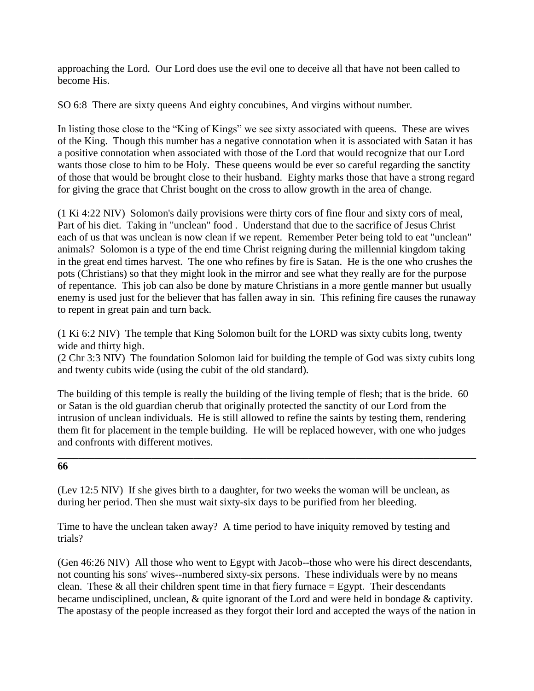approaching the Lord. Our Lord does use the evil one to deceive all that have not been called to become His.

SO 6:8 There are sixty queens And eighty concubines, And virgins without number.

In listing those close to the "King of Kings" we see sixty associated with queens. These are wives of the King. Though this number has a negative connotation when it is associated with Satan it has a positive connotation when associated with those of the Lord that would recognize that our Lord wants those close to him to be Holy. These queens would be ever so careful regarding the sanctity of those that would be brought close to their husband. Eighty marks those that have a strong regard for giving the grace that Christ bought on the cross to allow growth in the area of change.

(1 Ki 4:22 NIV) Solomon's daily provisions were thirty cors of fine flour and sixty cors of meal, Part of his diet. Taking in "unclean" food . Understand that due to the sacrifice of Jesus Christ each of us that was unclean is now clean if we repent. Remember Peter being told to eat "unclean" animals? Solomon is a type of the end time Christ reigning during the millennial kingdom taking in the great end times harvest. The one who refines by fire is Satan. He is the one who crushes the pots (Christians) so that they might look in the mirror and see what they really are for the purpose of repentance. This job can also be done by mature Christians in a more gentle manner but usually enemy is used just for the believer that has fallen away in sin. This refining fire causes the runaway to repent in great pain and turn back.

(1 Ki 6:2 NIV) The temple that King Solomon built for the LORD was sixty cubits long, twenty wide and thirty high.

(2 Chr 3:3 NIV) The foundation Solomon laid for building the temple of God was sixty cubits long and twenty cubits wide (using the cubit of the old standard).

The building of this temple is really the building of the living temple of flesh; that is the bride. 60 or Satan is the old guardian cherub that originally protected the sanctity of our Lord from the intrusion of unclean individuals. He is still allowed to refine the saints by testing them, rendering them fit for placement in the temple building. He will be replaced however, with one who judges and confronts with different motives.

**\_\_\_\_\_\_\_\_\_\_\_\_\_\_\_\_\_\_\_\_\_\_\_\_\_\_\_\_\_\_\_\_\_\_\_\_\_\_\_\_\_\_\_\_\_\_\_\_\_\_\_\_\_\_\_\_\_\_\_\_\_\_\_\_\_\_\_\_\_\_\_\_\_\_\_\_\_\_\_\_**

### **66**

(Lev 12:5 NIV) If she gives birth to a daughter, for two weeks the woman will be unclean, as during her period. Then she must wait sixty-six days to be purified from her bleeding.

Time to have the unclean taken away? A time period to have iniquity removed by testing and trials?

(Gen 46:26 NIV) All those who went to Egypt with Jacob--those who were his direct descendants, not counting his sons' wives--numbered sixty-six persons. These individuals were by no means clean. These  $\&$  all their children spent time in that fiery furnace = Egypt. Their descendants became undisciplined, unclean, & quite ignorant of the Lord and were held in bondage & captivity. The apostasy of the people increased as they forgot their lord and accepted the ways of the nation in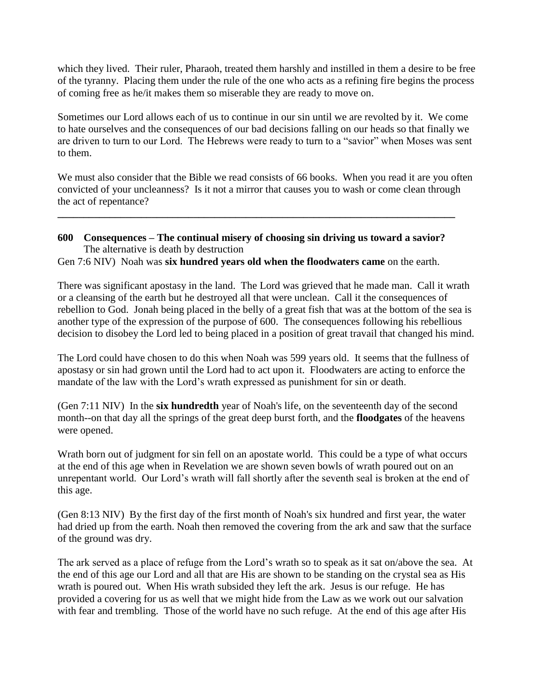which they lived. Their ruler, Pharaoh, treated them harshly and instilled in them a desire to be free of the tyranny. Placing them under the rule of the one who acts as a refining fire begins the process of coming free as he/it makes them so miserable they are ready to move on.

Sometimes our Lord allows each of us to continue in our sin until we are revolted by it. We come to hate ourselves and the consequences of our bad decisions falling on our heads so that finally we are driven to turn to our Lord. The Hebrews were ready to turn to a "savior" when Moses was sent to them.

We must also consider that the Bible we read consists of 66 books. When you read it are you often convicted of your uncleanness? Is it not a mirror that causes you to wash or come clean through the act of repentance?

# **600 Consequences – The continual misery of choosing sin driving us toward a savior?** The alternative is death by destruction

**\_\_\_\_\_\_\_\_\_\_\_\_\_\_\_\_\_\_\_\_\_\_\_\_\_\_\_\_\_\_\_\_\_\_\_\_\_\_\_\_\_\_\_\_\_\_\_\_\_\_\_\_\_\_\_\_\_\_\_\_\_\_\_\_\_\_\_\_\_\_\_\_\_\_\_\_**

Gen 7:6 NIV) Noah was **six hundred years old when the floodwaters came** on the earth.

There was significant apostasy in the land. The Lord was grieved that he made man. Call it wrath or a cleansing of the earth but he destroyed all that were unclean. Call it the consequences of rebellion to God. Jonah being placed in the belly of a great fish that was at the bottom of the sea is another type of the expression of the purpose of 600. The consequences following his rebellious decision to disobey the Lord led to being placed in a position of great travail that changed his mind.

The Lord could have chosen to do this when Noah was 599 years old. It seems that the fullness of apostasy or sin had grown until the Lord had to act upon it. Floodwaters are acting to enforce the mandate of the law with the Lord's wrath expressed as punishment for sin or death.

(Gen 7:11 NIV) In the **six hundredth** year of Noah's life, on the seventeenth day of the second month--on that day all the springs of the great deep burst forth, and the **floodgates** of the heavens were opened.

Wrath born out of judgment for sin fell on an apostate world. This could be a type of what occurs at the end of this age when in Revelation we are shown seven bowls of wrath poured out on an unrepentant world. Our Lord's wrath will fall shortly after the seventh seal is broken at the end of this age.

(Gen 8:13 NIV) By the first day of the first month of Noah's six hundred and first year, the water had dried up from the earth. Noah then removed the covering from the ark and saw that the surface of the ground was dry.

The ark served as a place of refuge from the Lord's wrath so to speak as it sat on/above the sea. At the end of this age our Lord and all that are His are shown to be standing on the crystal sea as His wrath is poured out. When His wrath subsided they left the ark. Jesus is our refuge. He has provided a covering for us as well that we might hide from the Law as we work out our salvation with fear and trembling. Those of the world have no such refuge. At the end of this age after His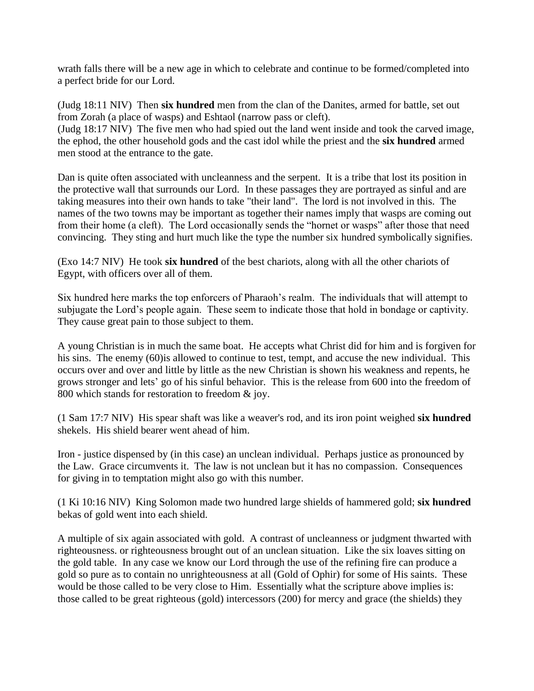wrath falls there will be a new age in which to celebrate and continue to be formed/completed into a perfect bride for our Lord.

(Judg 18:11 NIV) Then **six hundred** men from the clan of the Danites, armed for battle, set out from Zorah (a place of wasps) and Eshtaol (narrow pass or cleft). (Judg 18:17 NIV) The five men who had spied out the land went inside and took the carved image, the ephod, the other household gods and the cast idol while the priest and the **six hundred** armed men stood at the entrance to the gate.

Dan is quite often associated with uncleanness and the serpent. It is a tribe that lost its position in the protective wall that surrounds our Lord. In these passages they are portrayed as sinful and are taking measures into their own hands to take "their land". The lord is not involved in this. The names of the two towns may be important as together their names imply that wasps are coming out from their home (a cleft). The Lord occasionally sends the "hornet or wasps" after those that need convincing. They sting and hurt much like the type the number six hundred symbolically signifies.

(Exo 14:7 NIV) He took **six hundred** of the best chariots, along with all the other chariots of Egypt, with officers over all of them.

Six hundred here marks the top enforcers of Pharaoh's realm. The individuals that will attempt to subjugate the Lord's people again. These seem to indicate those that hold in bondage or captivity. They cause great pain to those subject to them.

A young Christian is in much the same boat. He accepts what Christ did for him and is forgiven for his sins. The enemy (60) is allowed to continue to test, tempt, and accuse the new individual. This occurs over and over and little by little as the new Christian is shown his weakness and repents, he grows stronger and lets' go of his sinful behavior. This is the release from 600 into the freedom of 800 which stands for restoration to freedom & joy.

(1 Sam 17:7 NIV) His spear shaft was like a weaver's rod, and its iron point weighed **six hundred** shekels. His shield bearer went ahead of him.

Iron - justice dispensed by (in this case) an unclean individual. Perhaps justice as pronounced by the Law. Grace circumvents it. The law is not unclean but it has no compassion. Consequences for giving in to temptation might also go with this number.

(1 Ki 10:16 NIV) King Solomon made two hundred large shields of hammered gold; **six hundred** bekas of gold went into each shield.

A multiple of six again associated with gold. A contrast of uncleanness or judgment thwarted with righteousness. or righteousness brought out of an unclean situation. Like the six loaves sitting on the gold table. In any case we know our Lord through the use of the refining fire can produce a gold so pure as to contain no unrighteousness at all (Gold of Ophir) for some of His saints. These would be those called to be very close to Him. Essentially what the scripture above implies is: those called to be great righteous (gold) intercessors (200) for mercy and grace (the shields) they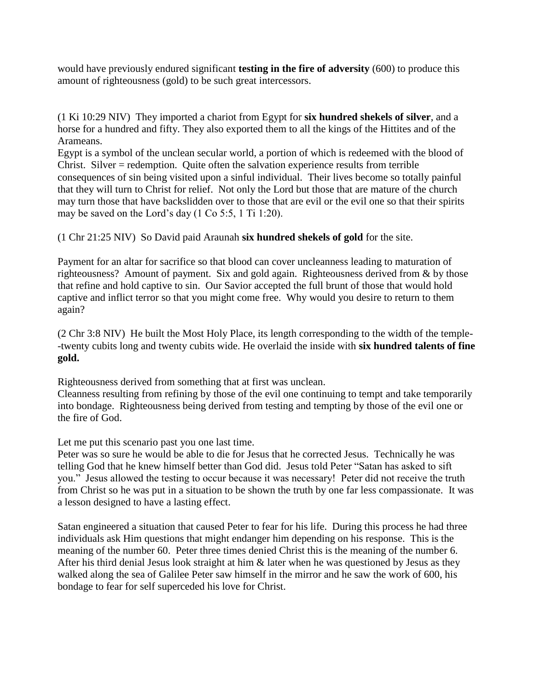would have previously endured significant **testing in the fire of adversity** (600) to produce this amount of righteousness (gold) to be such great intercessors.

(1 Ki 10:29 NIV) They imported a chariot from Egypt for **six hundred shekels of silver**, and a horse for a hundred and fifty. They also exported them to all the kings of the Hittites and of the Arameans.

Egypt is a symbol of the unclean secular world, a portion of which is redeemed with the blood of Christ. Silver = redemption. Quite often the salvation experience results from terrible consequences of sin being visited upon a sinful individual. Their lives become so totally painful that they will turn to Christ for relief. Not only the Lord but those that are mature of the church may turn those that have backslidden over to those that are evil or the evil one so that their spirits may be saved on the Lord's day (1 Co 5:5, 1 Ti 1:20).

(1 Chr 21:25 NIV) So David paid Araunah **six hundred shekels of gold** for the site.

Payment for an altar for sacrifice so that blood can cover uncleanness leading to maturation of righteousness? Amount of payment. Six and gold again. Righteousness derived from & by those that refine and hold captive to sin. Our Savior accepted the full brunt of those that would hold captive and inflict terror so that you might come free. Why would you desire to return to them again?

(2 Chr 3:8 NIV) He built the Most Holy Place, its length corresponding to the width of the temple- -twenty cubits long and twenty cubits wide. He overlaid the inside with **six hundred talents of fine gold.** 

Righteousness derived from something that at first was unclean.

Cleanness resulting from refining by those of the evil one continuing to tempt and take temporarily into bondage. Righteousness being derived from testing and tempting by those of the evil one or the fire of God.

Let me put this scenario past you one last time.

Peter was so sure he would be able to die for Jesus that he corrected Jesus. Technically he was telling God that he knew himself better than God did. Jesus told Peter "Satan has asked to sift you." Jesus allowed the testing to occur because it was necessary! Peter did not receive the truth from Christ so he was put in a situation to be shown the truth by one far less compassionate. It was a lesson designed to have a lasting effect.

Satan engineered a situation that caused Peter to fear for his life. During this process he had three individuals ask Him questions that might endanger him depending on his response. This is the meaning of the number 60. Peter three times denied Christ this is the meaning of the number 6. After his third denial Jesus look straight at him & later when he was questioned by Jesus as they walked along the sea of Galilee Peter saw himself in the mirror and he saw the work of 600, his bondage to fear for self superceded his love for Christ.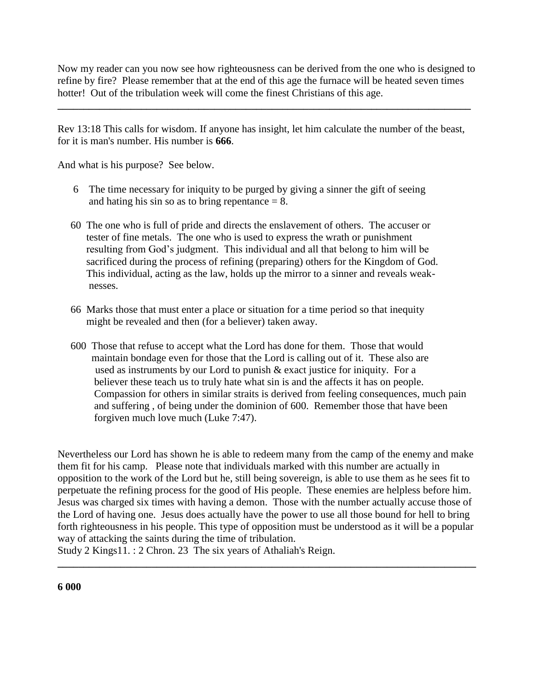Now my reader can you now see how righteousness can be derived from the one who is designed to refine by fire? Please remember that at the end of this age the furnace will be heated seven times hotter! Out of the tribulation week will come the finest Christians of this age.

**\_\_\_\_\_\_\_\_\_\_\_\_\_\_\_\_\_\_\_\_\_\_\_\_\_\_\_\_\_\_\_\_\_\_\_\_\_\_\_\_\_\_\_\_\_\_\_\_\_\_\_\_\_\_\_\_\_\_\_\_\_\_\_\_\_\_\_\_\_\_\_\_\_\_\_\_\_\_\_**

Rev 13:18 This calls for wisdom. If anyone has insight, let him calculate the number of the beast, for it is man's number. His number is **666**.

And what is his purpose? See below.

- 6 The time necessary for iniquity to be purged by giving a sinner the gift of seeing and hating his sin so as to bring repentance  $= 8$ .
- 60 The one who is full of pride and directs the enslavement of others. The accuser or tester of fine metals. The one who is used to express the wrath or punishment resulting from God's judgment. This individual and all that belong to him will be sacrificed during the process of refining (preparing) others for the Kingdom of God. This individual, acting as the law, holds up the mirror to a sinner and reveals weak nesses.
- 66 Marks those that must enter a place or situation for a time period so that inequity might be revealed and then (for a believer) taken away.
- 600 Those that refuse to accept what the Lord has done for them. Those that would maintain bondage even for those that the Lord is calling out of it. These also are used as instruments by our Lord to punish & exact justice for iniquity. For a believer these teach us to truly hate what sin is and the affects it has on people. Compassion for others in similar straits is derived from feeling consequences, much pain and suffering , of being under the dominion of 600. Remember those that have been forgiven much love much (Luke 7:47).

Nevertheless our Lord has shown he is able to redeem many from the camp of the enemy and make them fit for his camp. Please note that individuals marked with this number are actually in opposition to the work of the Lord but he, still being sovereign, is able to use them as he sees fit to perpetuate the refining process for the good of His people. These enemies are helpless before him. Jesus was charged six times with having a demon. Those with the number actually accuse those of the Lord of having one. Jesus does actually have the power to use all those bound for hell to bring forth righteousness in his people. This type of opposition must be understood as it will be a popular way of attacking the saints during the time of tribulation.

**\_\_\_\_\_\_\_\_\_\_\_\_\_\_\_\_\_\_\_\_\_\_\_\_\_\_\_\_\_\_\_\_\_\_\_\_\_\_\_\_\_\_\_\_\_\_\_\_\_\_\_\_\_\_\_\_\_\_\_\_\_\_\_\_\_\_\_\_\_\_\_\_\_\_\_\_\_\_\_\_**

Study 2 Kings11. : 2 Chron. 23 The six years of Athaliah's Reign.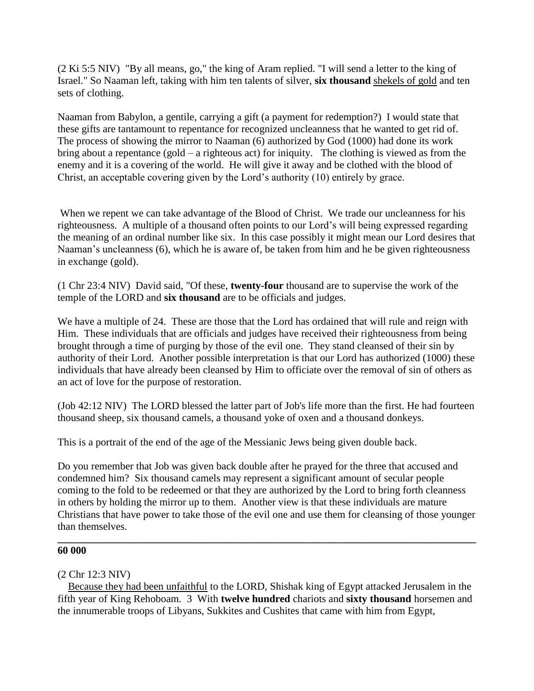(2 Ki 5:5 NIV) "By all means, go," the king of Aram replied. "I will send a letter to the king of Israel." So Naaman left, taking with him ten talents of silver, **six thousand** shekels of gold and ten sets of clothing.

Naaman from Babylon, a gentile, carrying a gift (a payment for redemption?) I would state that these gifts are tantamount to repentance for recognized uncleanness that he wanted to get rid of. The process of showing the mirror to Naaman (6) authorized by God (1000) had done its work bring about a repentance (gold – a righteous act) for iniquity. The clothing is viewed as from the enemy and it is a covering of the world. He will give it away and be clothed with the blood of Christ, an acceptable covering given by the Lord's authority (10) entirely by grace.

When we repent we can take advantage of the Blood of Christ. We trade our uncleanness for his righteousness. A multiple of a thousand often points to our Lord's will being expressed regarding the meaning of an ordinal number like six. In this case possibly it might mean our Lord desires that Naaman's uncleanness (6), which he is aware of, be taken from him and he be given righteousness in exchange (gold).

(1 Chr 23:4 NIV) David said, "Of these, **twenty-four** thousand are to supervise the work of the temple of the LORD and **six thousand** are to be officials and judges.

We have a multiple of 24. These are those that the Lord has ordained that will rule and reign with Him. These individuals that are officials and judges have received their righteousness from being brought through a time of purging by those of the evil one. They stand cleansed of their sin by authority of their Lord. Another possible interpretation is that our Lord has authorized (1000) these individuals that have already been cleansed by Him to officiate over the removal of sin of others as an act of love for the purpose of restoration.

(Job 42:12 NIV) The LORD blessed the latter part of Job's life more than the first. He had fourteen thousand sheep, six thousand camels, a thousand yoke of oxen and a thousand donkeys.

This is a portrait of the end of the age of the Messianic Jews being given double back.

Do you remember that Job was given back double after he prayed for the three that accused and condemned him? Six thousand camels may represent a significant amount of secular people coming to the fold to be redeemed or that they are authorized by the Lord to bring forth cleanness in others by holding the mirror up to them. Another view is that these individuals are mature Christians that have power to take those of the evil one and use them for cleansing of those younger than themselves.

**\_\_\_\_\_\_\_\_\_\_\_\_\_\_\_\_\_\_\_\_\_\_\_\_\_\_\_\_\_\_\_\_\_\_\_\_\_\_\_\_\_\_\_\_\_\_\_\_\_\_\_\_\_\_\_\_\_\_\_\_\_\_\_\_\_\_\_\_\_\_\_\_\_\_\_\_\_\_\_\_**

### **60 000**

### (2 Chr 12:3 NIV)

 Because they had been unfaithful to the LORD, Shishak king of Egypt attacked Jerusalem in the fifth year of King Rehoboam. 3 With **twelve hundred** chariots and **sixty thousand** horsemen and the innumerable troops of Libyans, Sukkites and Cushites that came with him from Egypt,